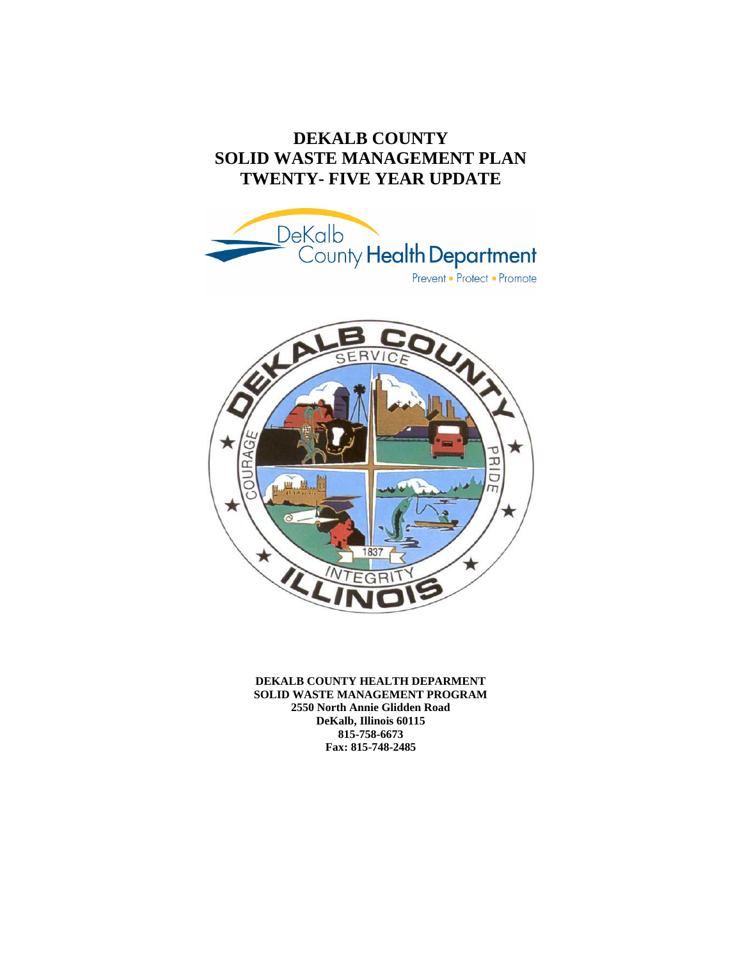# **DEKALB COUNTY SOLID WASTE MANAGEMENT PLAN TWENTY- FIVE YEAR UPDATE**





**DEKALB COUNTY HEALTH DEPARMENT SOLID WASTE MANAGEMENT PROGRAM 2550 North Annie Glidden Road DeKalb, Illinois 60115 815-758-6673 Fax: 815-748-2485**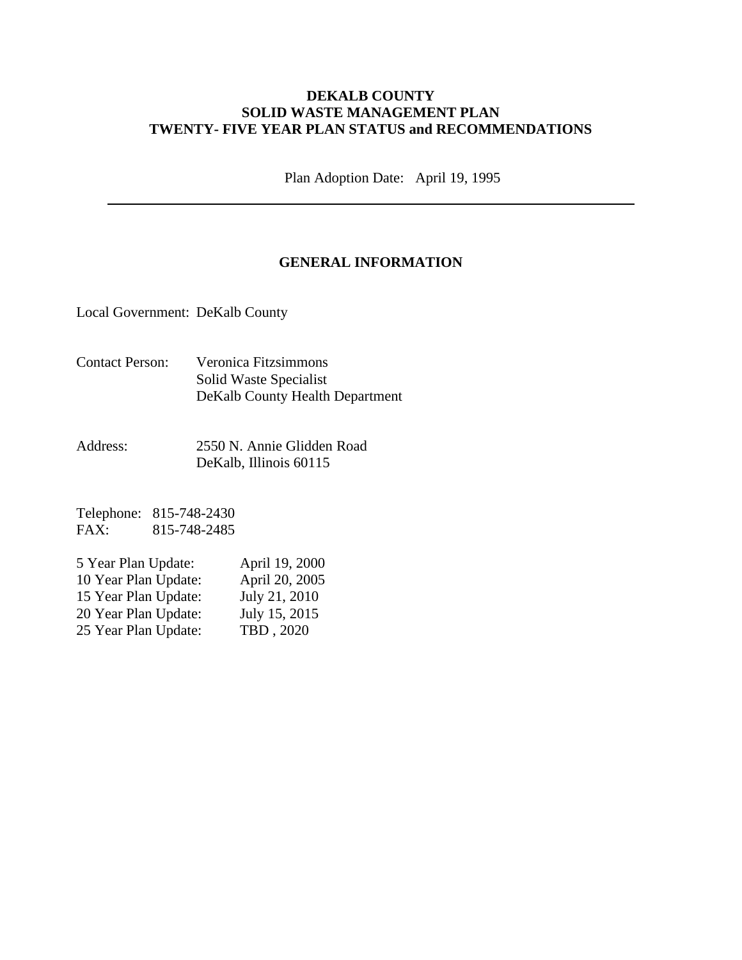#### **DEKALB COUNTY SOLID WASTE MANAGEMENT PLAN TWENTY- FIVE YEAR PLAN STATUS and RECOMMENDATIONS**

Plan Adoption Date: April 19, 1995

### **GENERAL INFORMATION**

Local Government: DeKalb County

- Contact Person: Veronica Fitzsimmons Solid Waste Specialist DeKalb County Health Department
- Address: 2550 N. Annie Glidden Road DeKalb, Illinois 60115

Telephone: 815-748-2430 FAX: 815-748-2485

| 5 Year Plan Update:  | April 19, 2000 |
|----------------------|----------------|
| 10 Year Plan Update: | April 20, 2005 |
| 15 Year Plan Update: | July 21, 2010  |
| 20 Year Plan Update: | July 15, 2015  |
| 25 Year Plan Update: | TBD, 2020      |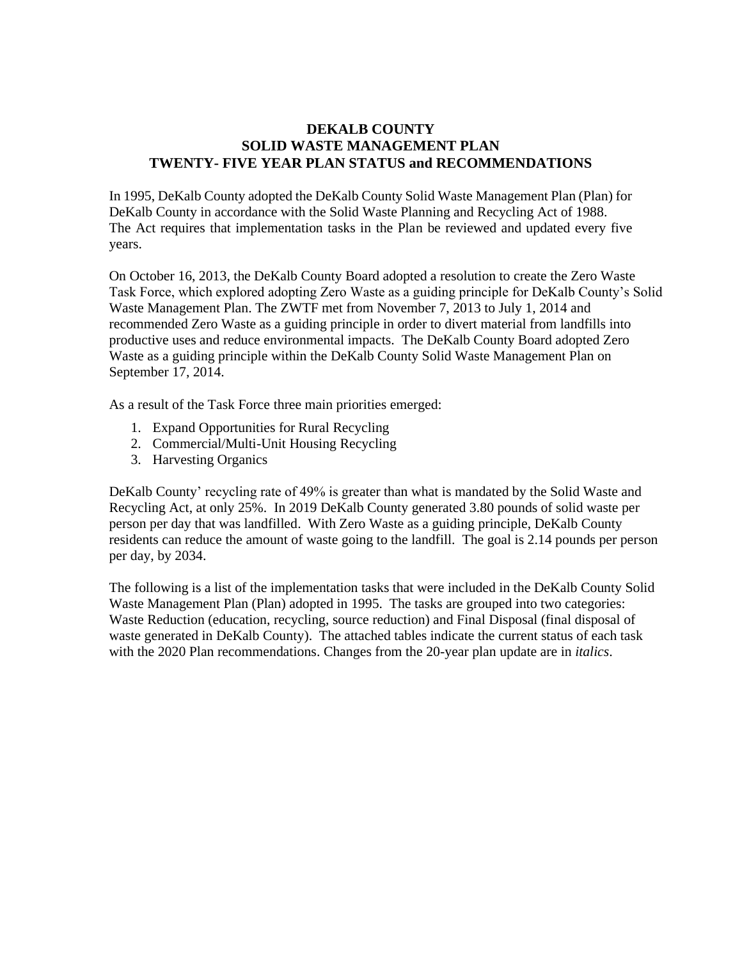#### **DEKALB COUNTY SOLID WASTE MANAGEMENT PLAN TWENTY- FIVE YEAR PLAN STATUS and RECOMMENDATIONS**

In 1995, DeKalb County adopted the DeKalb County Solid Waste Management Plan (Plan) for DeKalb County in accordance with the Solid Waste Planning and Recycling Act of 1988. The Act requires that implementation tasks in the Plan be reviewed and updated every five years.

On October 16, 2013, the DeKalb County Board adopted a resolution to create the Zero Waste Task Force, which explored adopting Zero Waste as a guiding principle for DeKalb County's Solid Waste Management Plan. The ZWTF met from November 7, 2013 to July 1, 2014 and recommended Zero Waste as a guiding principle in order to divert material from landfills into productive uses and reduce environmental impacts. The DeKalb County Board adopted Zero Waste as a guiding principle within the DeKalb County Solid Waste Management Plan on September 17, 2014.

As a result of the Task Force three main priorities emerged:

- 1. Expand Opportunities for Rural Recycling
- 2. Commercial/Multi-Unit Housing Recycling
- 3. Harvesting Organics

DeKalb County' recycling rate of 49% is greater than what is mandated by the Solid Waste and Recycling Act, at only 25%. In 2019 DeKalb County generated 3.80 pounds of solid waste per person per day that was landfilled. With Zero Waste as a guiding principle, DeKalb County residents can reduce the amount of waste going to the landfill. The goal is 2.14 pounds per person per day, by 2034.

The following is a list of the implementation tasks that were included in the DeKalb County Solid Waste Management Plan (Plan) adopted in 1995. The tasks are grouped into two categories: Waste Reduction (education, recycling, source reduction) and Final Disposal (final disposal of waste generated in DeKalb County). The attached tables indicate the current status of each task with the 2020 Plan recommendations. Changes from the 20-year plan update are in *italics*.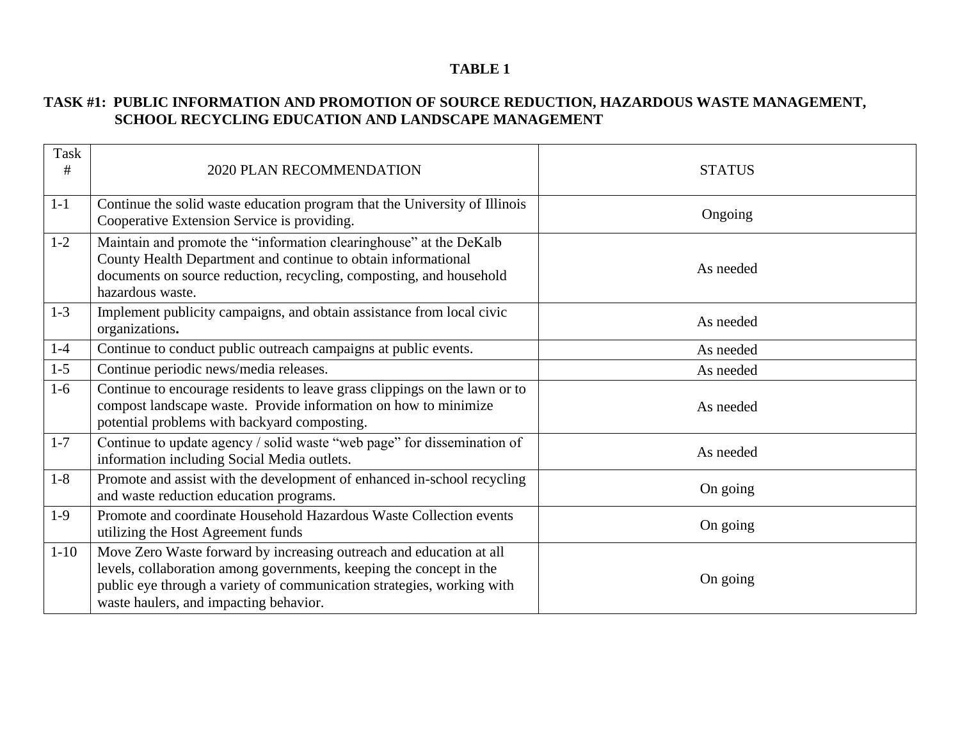### **TASK #1: PUBLIC INFORMATION AND PROMOTION OF SOURCE REDUCTION, HAZARDOUS WASTE MANAGEMENT, SCHOOL RECYCLING EDUCATION AND LANDSCAPE MANAGEMENT**

| Task<br># | 2020 PLAN RECOMMENDATION                                                                                                                                                                                                                                       | <b>STATUS</b> |
|-----------|----------------------------------------------------------------------------------------------------------------------------------------------------------------------------------------------------------------------------------------------------------------|---------------|
| $1-1$     | Continue the solid waste education program that the University of Illinois<br>Cooperative Extension Service is providing.                                                                                                                                      | Ongoing       |
| $1-2$     | Maintain and promote the "information clearinghouse" at the DeKalb<br>County Health Department and continue to obtain informational<br>documents on source reduction, recycling, composting, and household<br>hazardous waste.                                 | As needed     |
| $1-3$     | Implement publicity campaigns, and obtain assistance from local civic<br>organizations.                                                                                                                                                                        | As needed     |
| $1 - 4$   | Continue to conduct public outreach campaigns at public events.                                                                                                                                                                                                | As needed     |
| $1 - 5$   | Continue periodic news/media releases.                                                                                                                                                                                                                         | As needed     |
| $1-6$     | Continue to encourage residents to leave grass clippings on the lawn or to<br>compost landscape waste. Provide information on how to minimize<br>potential problems with backyard composting.                                                                  | As needed     |
| $1 - 7$   | Continue to update agency / solid waste "web page" for dissemination of<br>information including Social Media outlets.                                                                                                                                         | As needed     |
| $1-8$     | Promote and assist with the development of enhanced in-school recycling<br>and waste reduction education programs.                                                                                                                                             | On going      |
| $1-9$     | Promote and coordinate Household Hazardous Waste Collection events<br>utilizing the Host Agreement funds                                                                                                                                                       | On going      |
| $1 - 10$  | Move Zero Waste forward by increasing outreach and education at all<br>levels, collaboration among governments, keeping the concept in the<br>public eye through a variety of communication strategies, working with<br>waste haulers, and impacting behavior. | On going      |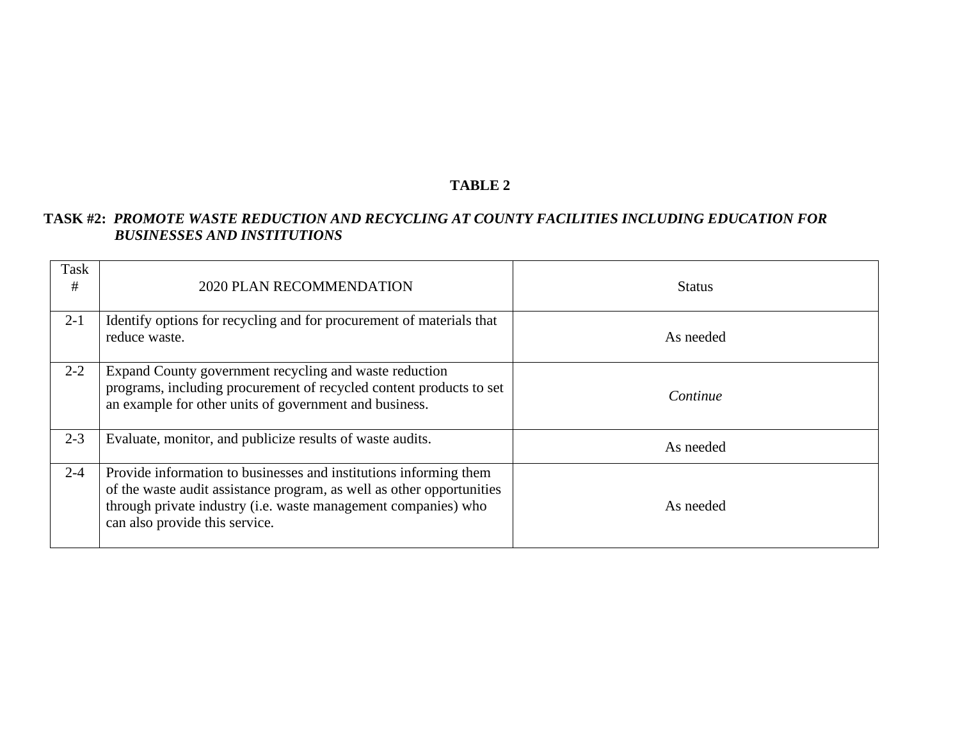## **TASK #2:** *PROMOTE WASTE REDUCTION AND RECYCLING AT COUNTY FACILITIES INCLUDING EDUCATION FOR BUSINESSES AND INSTITUTIONS*

| Task<br># | 2020 PLAN RECOMMENDATION                                                                                                                                                                                                                       | <b>Status</b> |
|-----------|------------------------------------------------------------------------------------------------------------------------------------------------------------------------------------------------------------------------------------------------|---------------|
| $2 - 1$   | Identify options for recycling and for procurement of materials that<br>reduce waste.                                                                                                                                                          | As needed     |
| $2 - 2$   | Expand County government recycling and waste reduction<br>programs, including procurement of recycled content products to set<br>an example for other units of government and business.                                                        | Continue      |
| $2 - 3$   | Evaluate, monitor, and publicize results of waste audits.                                                                                                                                                                                      | As needed     |
| $2 - 4$   | Provide information to businesses and institutions informing them<br>of the waste audit assistance program, as well as other opportunities<br>through private industry (i.e. waste management companies) who<br>can also provide this service. | As needed     |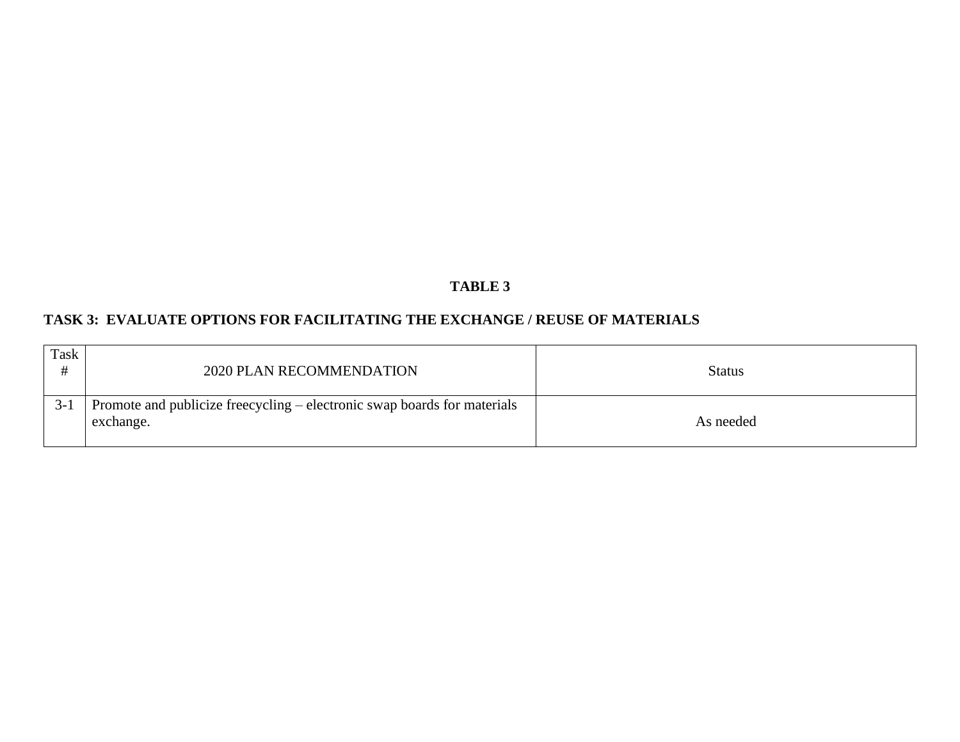# **TASK 3: EVALUATE OPTIONS FOR FACILITATING THE EXCHANGE / REUSE OF MATERIALS**

| Task  | 2020 PLAN RECOMMENDATION                                                              | <b>Status</b> |
|-------|---------------------------------------------------------------------------------------|---------------|
| $3-1$ | Promote and publicize freecycling – electronic swap boards for materials<br>exchange. | As needed     |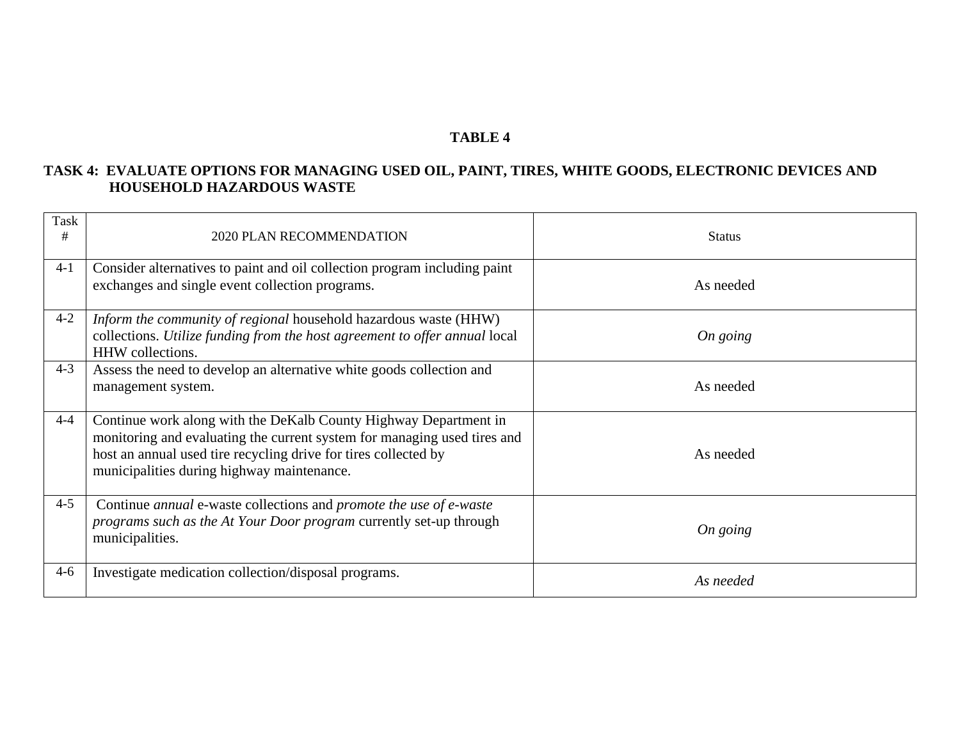### **TASK 4: EVALUATE OPTIONS FOR MANAGING USED OIL, PAINT, TIRES, WHITE GOODS, ELECTRONIC DEVICES AND HOUSEHOLD HAZARDOUS WASTE**

| Task<br># | 2020 PLAN RECOMMENDATION                                                                                                                                                                                                                                      | <b>Status</b> |
|-----------|---------------------------------------------------------------------------------------------------------------------------------------------------------------------------------------------------------------------------------------------------------------|---------------|
| $4 - 1$   | Consider alternatives to paint and oil collection program including paint<br>exchanges and single event collection programs.                                                                                                                                  | As needed     |
| $4 - 2$   | Inform the community of regional household hazardous waste (HHW)<br>collections. Utilize funding from the host agreement to offer annual local<br>HHW collections.                                                                                            | On going      |
| $4 - 3$   | Assess the need to develop an alternative white goods collection and<br>management system.                                                                                                                                                                    | As needed     |
| $4 - 4$   | Continue work along with the DeKalb County Highway Department in<br>monitoring and evaluating the current system for managing used tires and<br>host an annual used tire recycling drive for tires collected by<br>municipalities during highway maintenance. | As needed     |
| $4 - 5$   | Continue <i>annual</i> e-waste collections and <i>promote the use of e-waste</i><br>programs such as the At Your Door program currently set-up through<br>municipalities.                                                                                     | On going      |
| $4-6$     | Investigate medication collection/disposal programs.                                                                                                                                                                                                          | As needed     |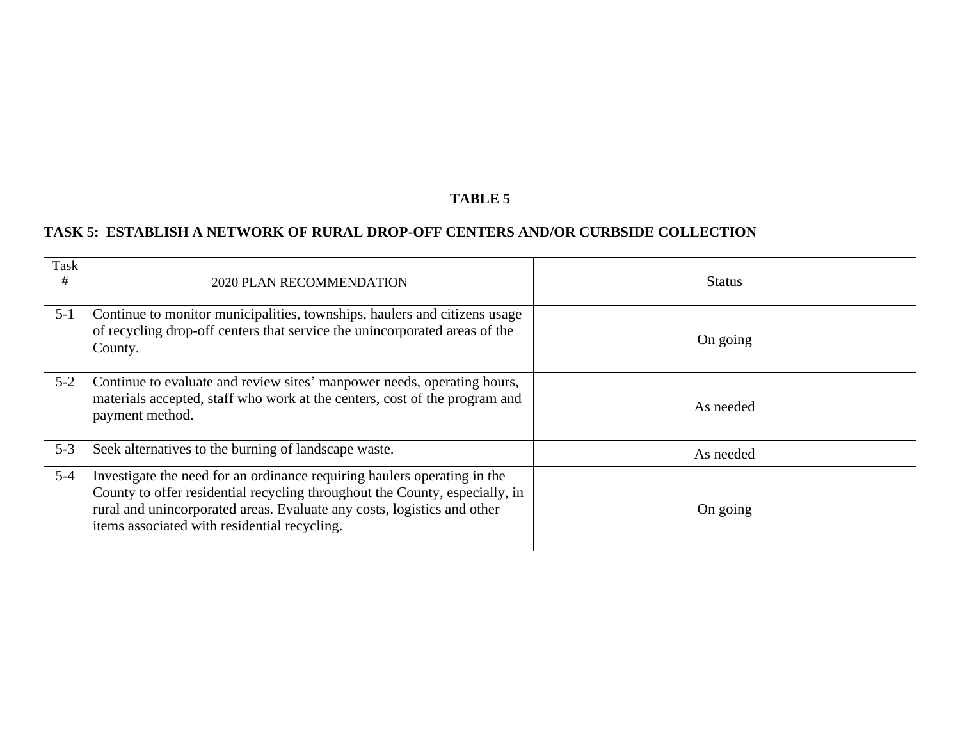## **TASK 5: ESTABLISH A NETWORK OF RURAL DROP-OFF CENTERS AND/OR CURBSIDE COLLECTION**

| <b>Task</b><br># | <b>2020 PLAN RECOMMENDATION</b>                                                                                                                                                                                                                                                    | <b>Status</b> |
|------------------|------------------------------------------------------------------------------------------------------------------------------------------------------------------------------------------------------------------------------------------------------------------------------------|---------------|
| $5 - 1$          | Continue to monitor municipalities, townships, haulers and citizens usage<br>of recycling drop-off centers that service the unincorporated areas of the<br>County.                                                                                                                 | On going      |
| $5 - 2$          | Continue to evaluate and review sites' manpower needs, operating hours,<br>materials accepted, staff who work at the centers, cost of the program and<br>payment method.                                                                                                           | As needed     |
| $5 - 3$          | Seek alternatives to the burning of landscape waste.                                                                                                                                                                                                                               | As needed     |
| $5-4$            | Investigate the need for an ordinance requiring haulers operating in the<br>County to offer residential recycling throughout the County, especially, in<br>rural and unincorporated areas. Evaluate any costs, logistics and other<br>items associated with residential recycling. | On going      |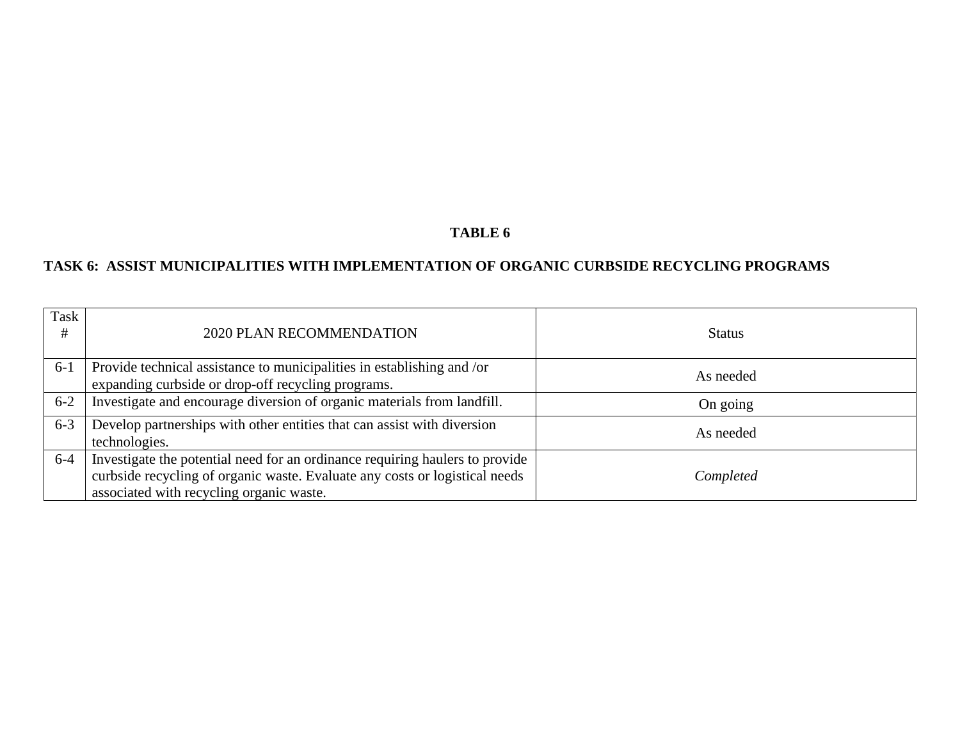# **TASK 6: ASSIST MUNICIPALITIES WITH IMPLEMENTATION OF ORGANIC CURBSIDE RECYCLING PROGRAMS**

| Task<br># | 2020 PLAN RECOMMENDATION                                                                                                                                                                                | <b>Status</b> |
|-----------|---------------------------------------------------------------------------------------------------------------------------------------------------------------------------------------------------------|---------------|
| $6-1$     | Provide technical assistance to municipalities in establishing and /or<br>expanding curbside or drop-off recycling programs.                                                                            | As needed     |
| $6 - 2$   | Investigate and encourage diversion of organic materials from landfill.                                                                                                                                 | On going      |
| $6 - 3$   | Develop partnerships with other entities that can assist with diversion<br>technologies.                                                                                                                | As needed     |
| $6-4$     | Investigate the potential need for an ordinance requiring haulers to provide<br>curbside recycling of organic waste. Evaluate any costs or logistical needs<br>associated with recycling organic waste. | Completed     |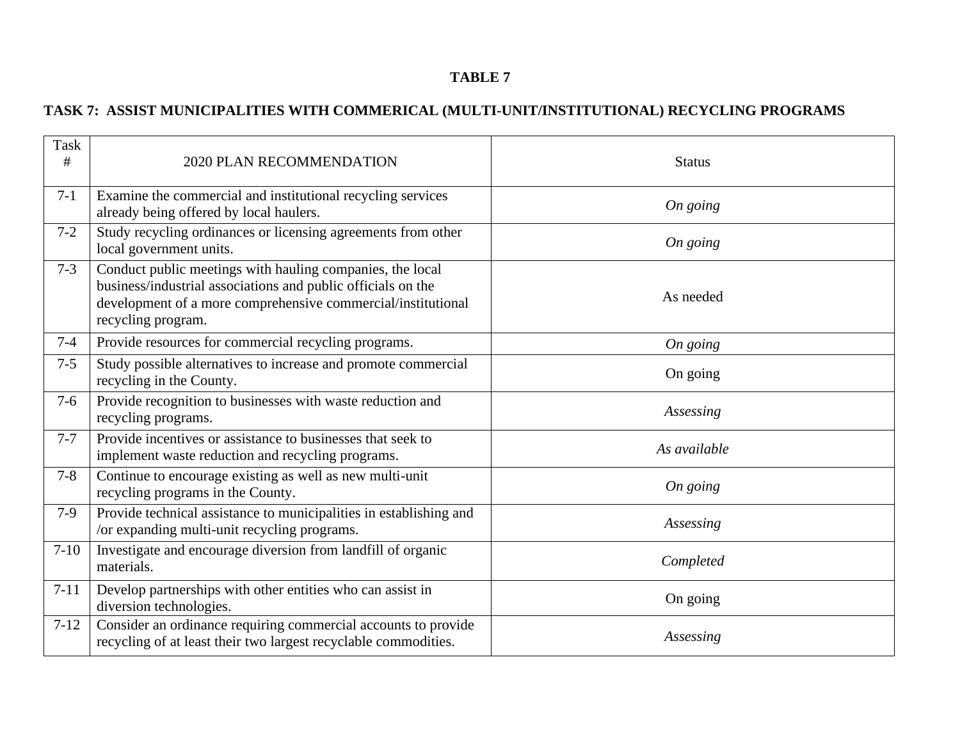# **TASK 7: ASSIST MUNICIPALITIES WITH COMMERICAL (MULTI-UNIT/INSTITUTIONAL) RECYCLING PROGRAMS**

| <b>Task</b><br># | 2020 PLAN RECOMMENDATION                                                                                                                                                                                        | <b>Status</b> |
|------------------|-----------------------------------------------------------------------------------------------------------------------------------------------------------------------------------------------------------------|---------------|
| $7 - 1$          | Examine the commercial and institutional recycling services<br>already being offered by local haulers.                                                                                                          | On going      |
| $7 - 2$          | Study recycling ordinances or licensing agreements from other<br>local government units.                                                                                                                        | On going      |
| $7 - 3$          | Conduct public meetings with hauling companies, the local<br>business/industrial associations and public officials on the<br>development of a more comprehensive commercial/institutional<br>recycling program. | As needed     |
| $7 - 4$          | Provide resources for commercial recycling programs.                                                                                                                                                            | On going      |
| $7 - 5$          | Study possible alternatives to increase and promote commercial<br>recycling in the County.                                                                                                                      | On going      |
| $7-6$            | Provide recognition to businesses with waste reduction and<br>recycling programs.                                                                                                                               | Assessing     |
| $7 - 7$          | Provide incentives or assistance to businesses that seek to<br>implement waste reduction and recycling programs.                                                                                                | As available  |
| $7 - 8$          | Continue to encourage existing as well as new multi-unit<br>recycling programs in the County.                                                                                                                   | On going      |
| $7-9$            | Provide technical assistance to municipalities in establishing and<br>/or expanding multi-unit recycling programs.                                                                                              | Assessing     |
| $7-10$           | Investigate and encourage diversion from landfill of organic<br>materials.                                                                                                                                      | Completed     |
| $7 - 11$         | Develop partnerships with other entities who can assist in<br>diversion technologies.                                                                                                                           | On going      |
| $7-12$           | Consider an ordinance requiring commercial accounts to provide<br>recycling of at least their two largest recyclable commodities.                                                                               | Assessing     |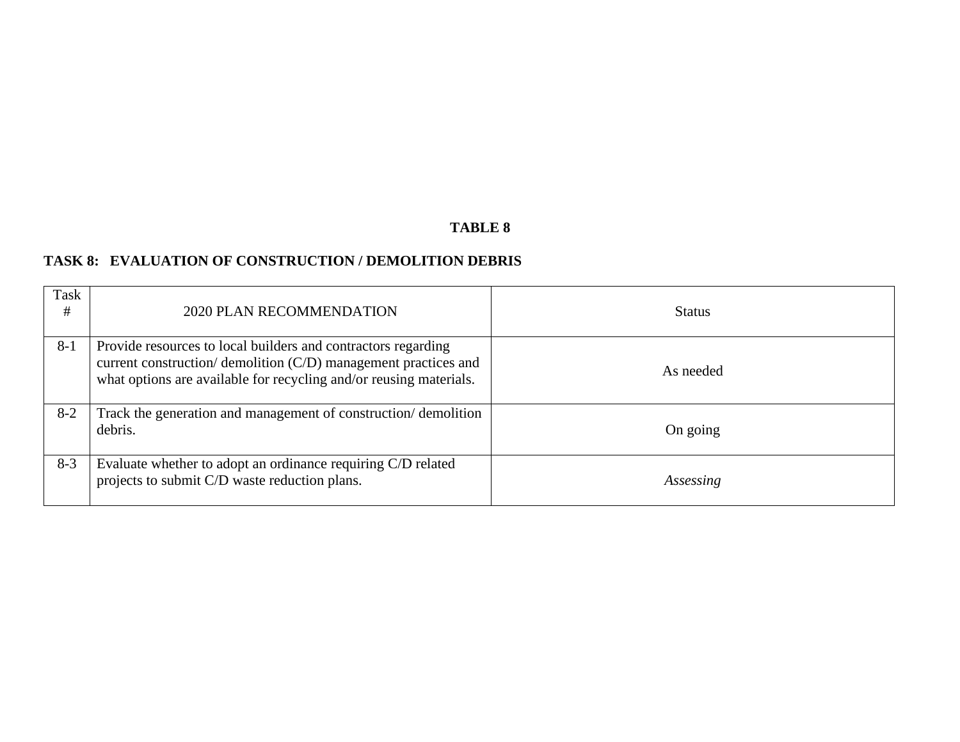## **TASK 8: EVALUATION OF CONSTRUCTION / DEMOLITION DEBRIS**

| Task<br># | 2020 PLAN RECOMMENDATION                                                                                                                                                                               | <b>Status</b> |
|-----------|--------------------------------------------------------------------------------------------------------------------------------------------------------------------------------------------------------|---------------|
| $8-1$     | Provide resources to local builders and contractors regarding<br>current construction/ demolition (C/D) management practices and<br>what options are available for recycling and/or reusing materials. | As needed     |
| $8-2$     | Track the generation and management of construction/demolition<br>debris.                                                                                                                              | On going      |
| $8-3$     | Evaluate whether to adopt an ordinance requiring C/D related<br>projects to submit C/D waste reduction plans.                                                                                          | Assessing     |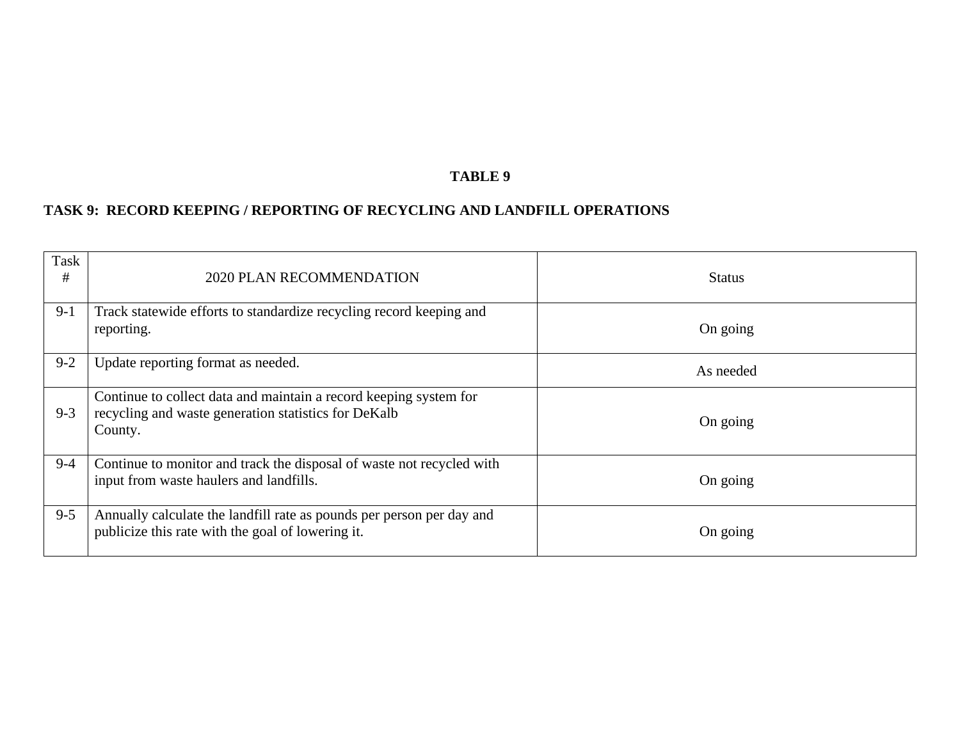## **TASK 9: RECORD KEEPING / REPORTING OF RECYCLING AND LANDFILL OPERATIONS**

| Task<br># | <b>2020 PLAN RECOMMENDATION</b>                                                                                                      | <b>Status</b> |
|-----------|--------------------------------------------------------------------------------------------------------------------------------------|---------------|
| $9-1$     | Track statewide efforts to standardize recycling record keeping and<br>reporting.                                                    | On going      |
| $9 - 2$   | Update reporting format as needed.                                                                                                   | As needed     |
| $9 - 3$   | Continue to collect data and maintain a record keeping system for<br>recycling and waste generation statistics for DeKalb<br>County. | On going      |
| $9 - 4$   | Continue to monitor and track the disposal of waste not recycled with<br>input from waste haulers and landfills.                     | On going      |
| $9 - 5$   | Annually calculate the landfill rate as pounds per person per day and<br>publicize this rate with the goal of lowering it.           | On going      |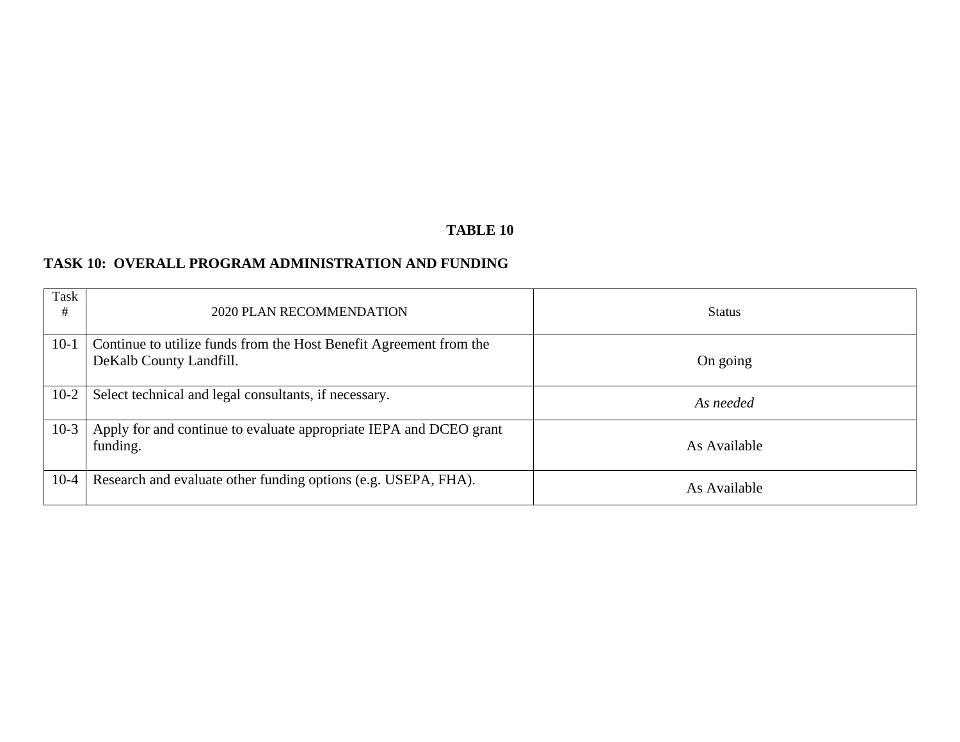### **TASK 10: OVERALL PROGRAM ADMINISTRATION AND FUNDING**

| Task<br># | 2020 PLAN RECOMMENDATION                                                                      | <b>Status</b> |
|-----------|-----------------------------------------------------------------------------------------------|---------------|
| $10-1$    | Continue to utilize funds from the Host Benefit Agreement from the<br>DeKalb County Landfill. | On going      |
| $10-2$    | Select technical and legal consultants, if necessary.                                         | As needed     |
| $10-3$    | Apply for and continue to evaluate appropriate IEPA and DCEO grant<br>funding.                | As Available  |
| $10-4$    | Research and evaluate other funding options (e.g. USEPA, FHA).                                | As Available  |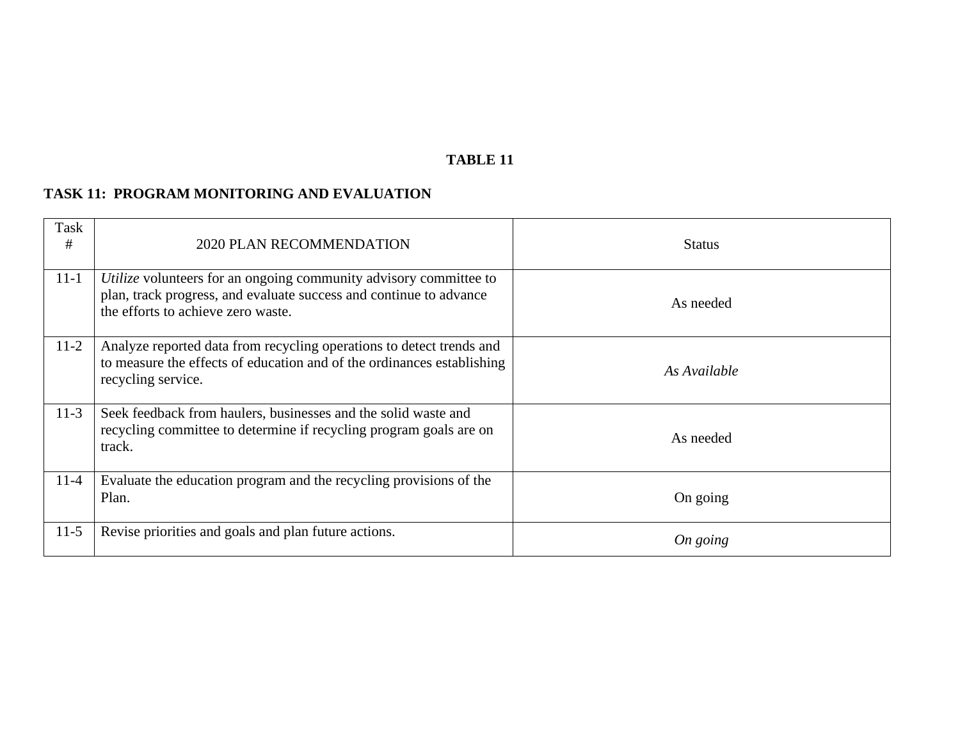### **TASK 11: PROGRAM MONITORING AND EVALUATION**

| Task<br># | 2020 PLAN RECOMMENDATION                                                                                                                                                      | <b>Status</b> |
|-----------|-------------------------------------------------------------------------------------------------------------------------------------------------------------------------------|---------------|
| $11-1$    | Utilize volunteers for an ongoing community advisory committee to<br>plan, track progress, and evaluate success and continue to advance<br>the efforts to achieve zero waste. | As needed     |
| $11-2$    | Analyze reported data from recycling operations to detect trends and<br>to measure the effects of education and of the ordinances establishing<br>recycling service.          | As Available  |
| $11-3$    | Seek feedback from haulers, businesses and the solid waste and<br>recycling committee to determine if recycling program goals are on<br>track.                                | As needed     |
| $11 - 4$  | Evaluate the education program and the recycling provisions of the<br>Plan.                                                                                                   | On going      |
| $11-5$    | Revise priorities and goals and plan future actions.                                                                                                                          | On going      |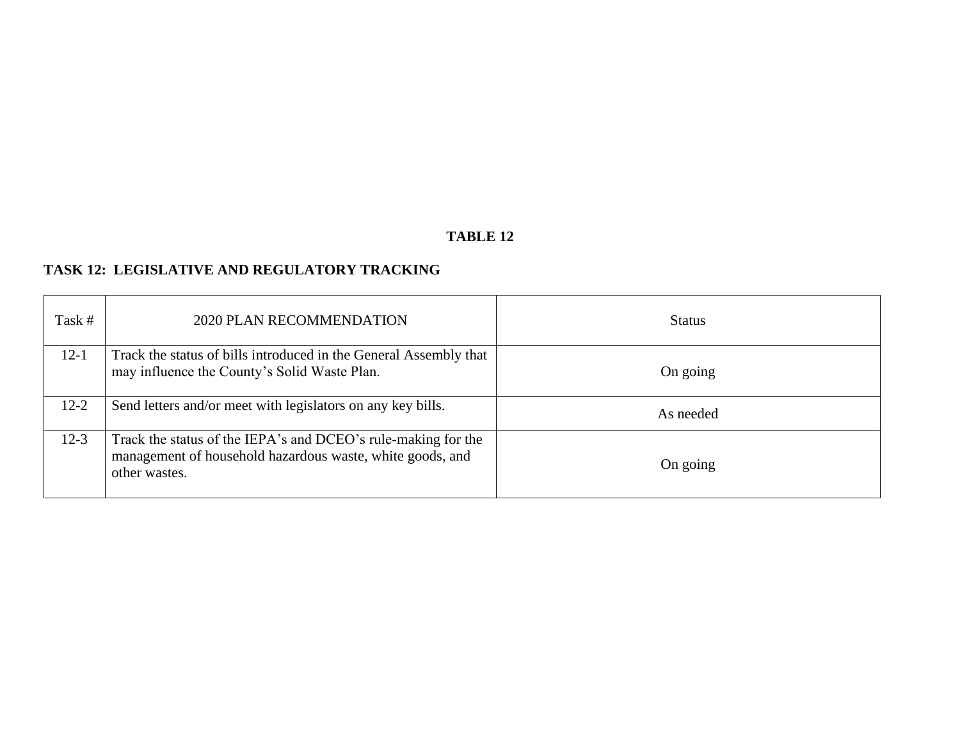# **TASK 12: LEGISLATIVE AND REGULATORY TRACKING**

| Task #   | 2020 PLAN RECOMMENDATION                                                                                                                    | <b>Status</b> |
|----------|---------------------------------------------------------------------------------------------------------------------------------------------|---------------|
| $12 - 1$ | Track the status of bills introduced in the General Assembly that<br>may influence the County's Solid Waste Plan.                           | On going      |
| $12 - 2$ | Send letters and/or meet with legislators on any key bills.                                                                                 | As needed     |
| $12-3$   | Track the status of the IEPA's and DCEO's rule-making for the<br>management of household hazardous waste, white goods, and<br>other wastes. | On going      |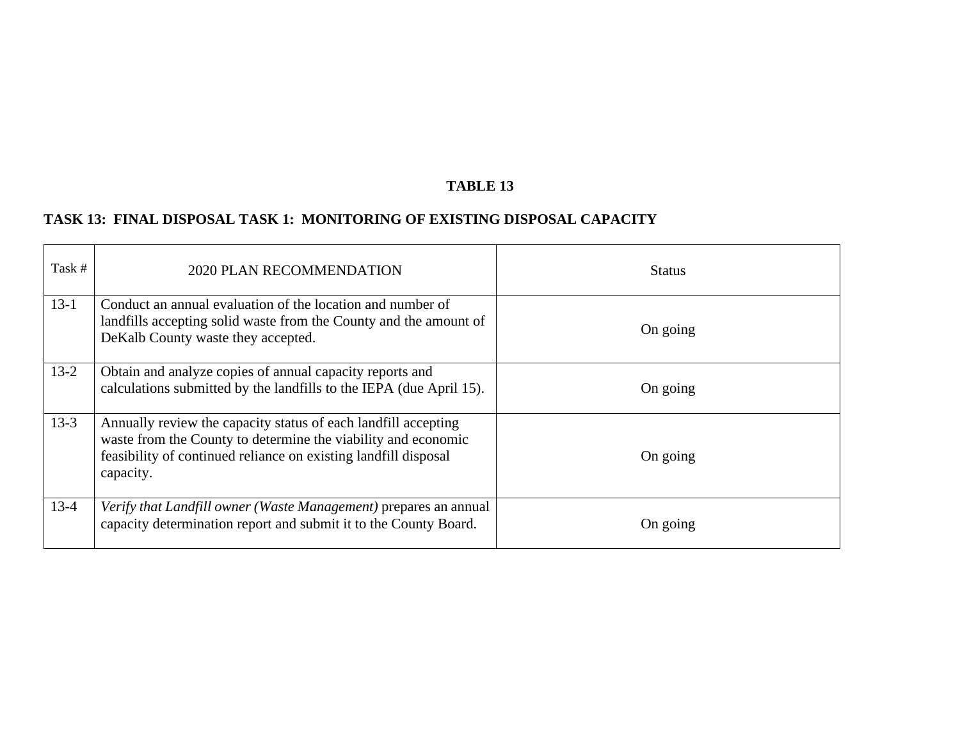# **TASK 13: FINAL DISPOSAL TASK 1: MONITORING OF EXISTING DISPOSAL CAPACITY**

| Task #   | 2020 PLAN RECOMMENDATION                                                                                                                                                                                        | <b>Status</b> |
|----------|-----------------------------------------------------------------------------------------------------------------------------------------------------------------------------------------------------------------|---------------|
| $13-1$   | Conduct an annual evaluation of the location and number of<br>landfills accepting solid waste from the County and the amount of<br>DeKalb County waste they accepted.                                           | On going      |
| $13 - 2$ | Obtain and analyze copies of annual capacity reports and<br>calculations submitted by the landfills to the IEPA (due April 15).                                                                                 | On going      |
| $13-3$   | Annually review the capacity status of each landfill accepting<br>waste from the County to determine the viability and economic<br>feasibility of continued reliance on existing landfill disposal<br>capacity. | On going      |
| $13-4$   | Verify that Landfill owner (Waste Management) prepares an annual<br>capacity determination report and submit it to the County Board.                                                                            | On going      |